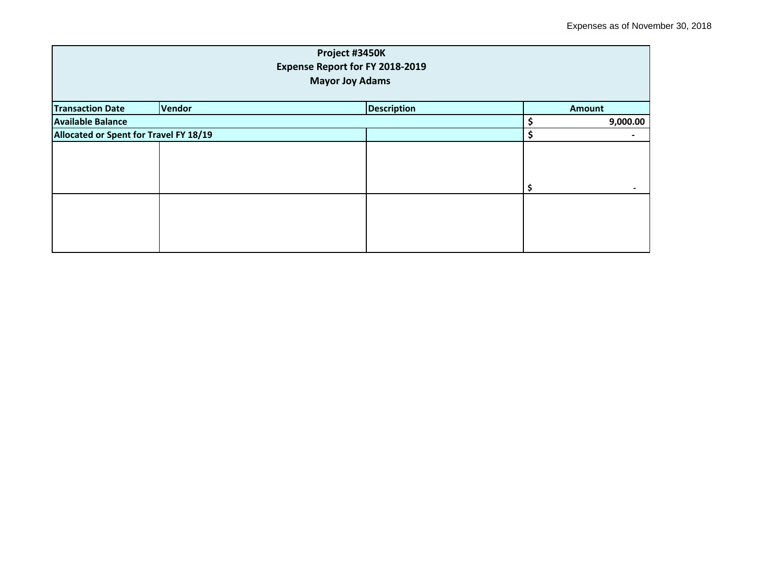| Project #3450K<br>Expense Report for FY 2018-2019<br><b>Mayor Joy Adams</b> |        |  |                    |          |                |
|-----------------------------------------------------------------------------|--------|--|--------------------|----------|----------------|
| <b>Transaction Date</b>                                                     | Vendor |  | <b>Description</b> |          | <b>Amount</b>  |
| <b>Available Balance</b>                                                    |        |  |                    | 9,000.00 |                |
| Allocated or Spent for Travel FY 18/19                                      |        |  |                    | Ś        | $\blacksquare$ |
|                                                                             |        |  |                    |          |                |
|                                                                             |        |  |                    |          |                |
|                                                                             |        |  |                    |          |                |
|                                                                             |        |  |                    |          |                |
|                                                                             |        |  |                    |          |                |
|                                                                             |        |  |                    |          |                |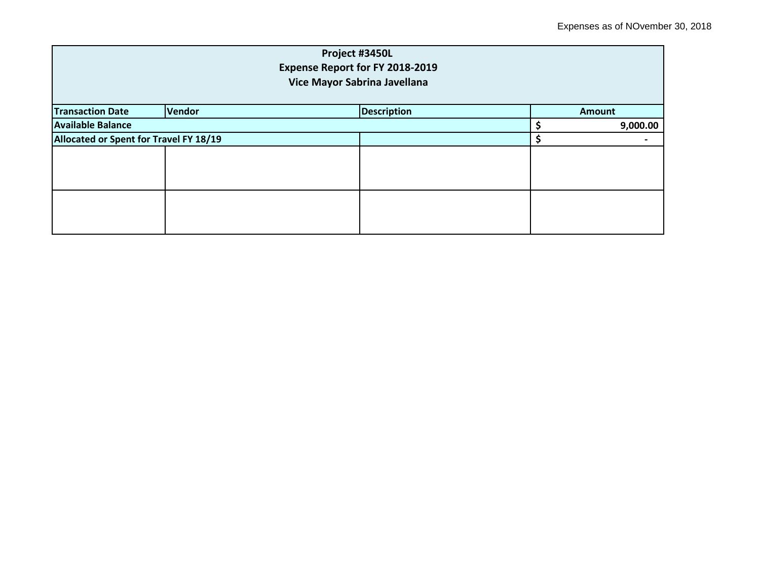| Project #3450L<br><b>Expense Report for FY 2018-2019</b><br>Vice Mayor Sabrina Javellana |        |                    |  |               |  |
|------------------------------------------------------------------------------------------|--------|--------------------|--|---------------|--|
| <b>Transaction Date</b>                                                                  | Vendor | <b>Description</b> |  | <b>Amount</b> |  |
| <b>Available Balance</b>                                                                 |        |                    |  | 9,000.00      |  |
| Allocated or Spent for Travel FY 18/19                                                   |        |                    |  |               |  |
|                                                                                          |        |                    |  |               |  |
|                                                                                          |        |                    |  |               |  |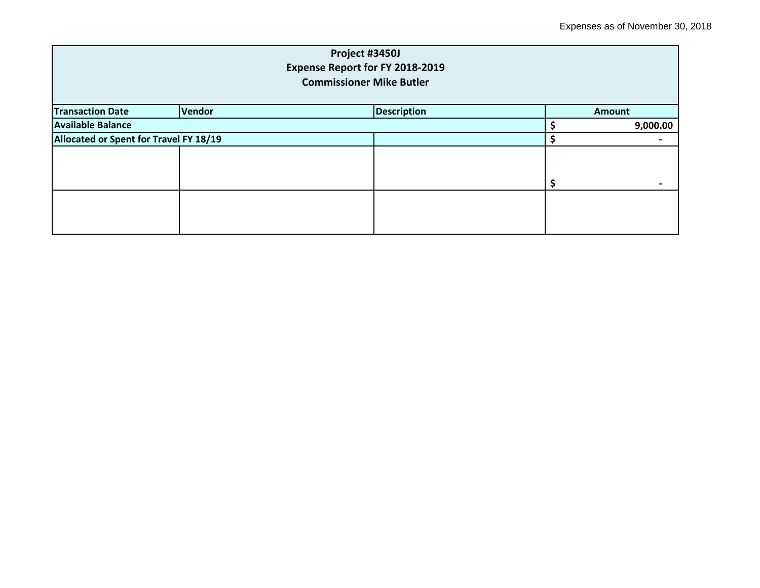| Project #3450J<br><b>Expense Report for FY 2018-2019</b><br><b>Commissioner Mike Butler</b> |        |                    |  |                          |  |  |
|---------------------------------------------------------------------------------------------|--------|--------------------|--|--------------------------|--|--|
| <b>Transaction Date</b>                                                                     | Vendor | <b>Description</b> |  | <b>Amount</b>            |  |  |
| <b>Available Balance</b>                                                                    |        |                    |  | 9,000.00                 |  |  |
| Allocated or Spent for Travel FY 18/19                                                      |        |                    |  | $\overline{\phantom{0}}$ |  |  |
|                                                                                             |        |                    |  |                          |  |  |
|                                                                                             |        |                    |  |                          |  |  |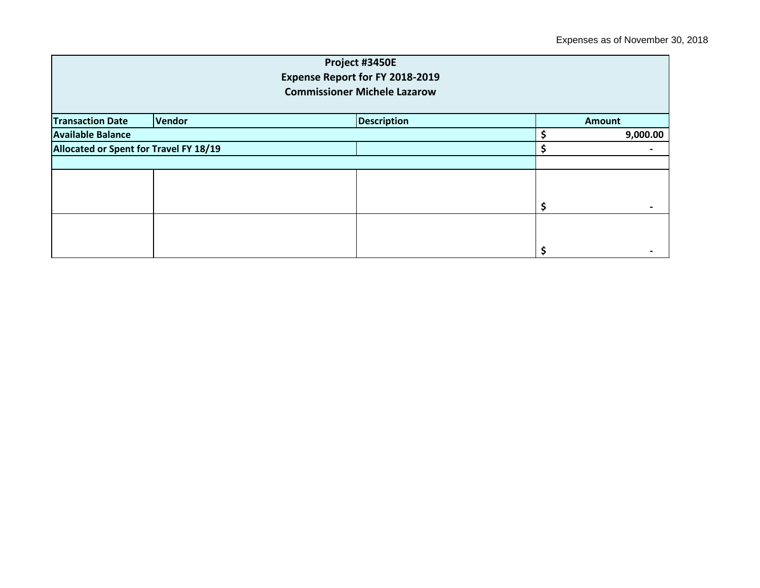| Project #3450E<br>Expense Report for FY 2018-2019<br><b>Commissioner Michele Lazarow</b> |        |                    |  |               |  |
|------------------------------------------------------------------------------------------|--------|--------------------|--|---------------|--|
| <b>Transaction Date</b>                                                                  | Vendor | <b>Description</b> |  | <b>Amount</b> |  |
| <b>Available Balance</b>                                                                 |        |                    |  | 9,000.00      |  |
| Allocated or Spent for Travel FY 18/19                                                   |        |                    |  |               |  |
|                                                                                          |        |                    |  |               |  |
|                                                                                          |        |                    |  |               |  |
|                                                                                          |        |                    |  |               |  |
|                                                                                          |        |                    |  |               |  |